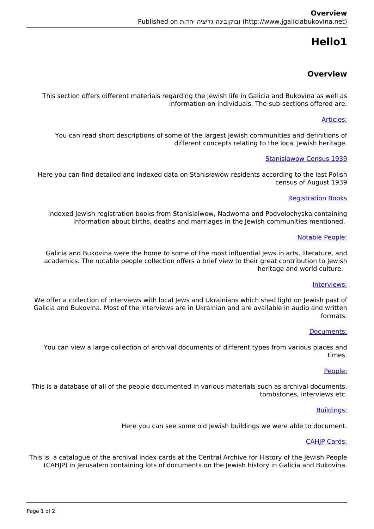# **1Hello**

# **Overview**

This section offers different materials regarding the Jewish life in Galicia and Bukovina as well as information on individuals. The sub-sections offered are:

## Articles:

You can read short descriptions of some of the largest lewish communities and definitions of different concepts relating to the local Jewish heritage.

## **Stanislawow Census 1939**

Here you can find detailed and indexed data on Stanisławów residents according to the last Polish census of August 1939

#### **Registration Books**

Indexed Jewish registration books from Stanislalwow, Nadworna and Podvolochyska containing information about births, deaths and marriages in the Jewish communities mentioned.

#### Notable People:

Galicia and Bukovina were the home to some of the most influential lews in arts, literature, and academics. The notable people collection offers a brief view to their great contribution to Jewish heritage and world culture.

#### Interviews:

We offer a collection of interviews with local Jews and Ukrainians which shed light on Jewish past of Galicia and Bukovina. Most of the interviews are in Ukrainian and are available in audio and written .formats

#### :Documents

You can view a large collection of archival documents of different types from various places and .times

#### :People

This is a database of all of the people documented in various materials such as archival documents, tombstones, interviews etc.

#### Buildings:

Here you can see some old Jewish buildings we were able to document.

#### CAHIP Cards:

This is a catalogue of the archival index cards at the Central Archive for History of the Jewish People (CAHIP) in lerusalem containing lots of documents on the lewish history in Galicia and Bukovina.